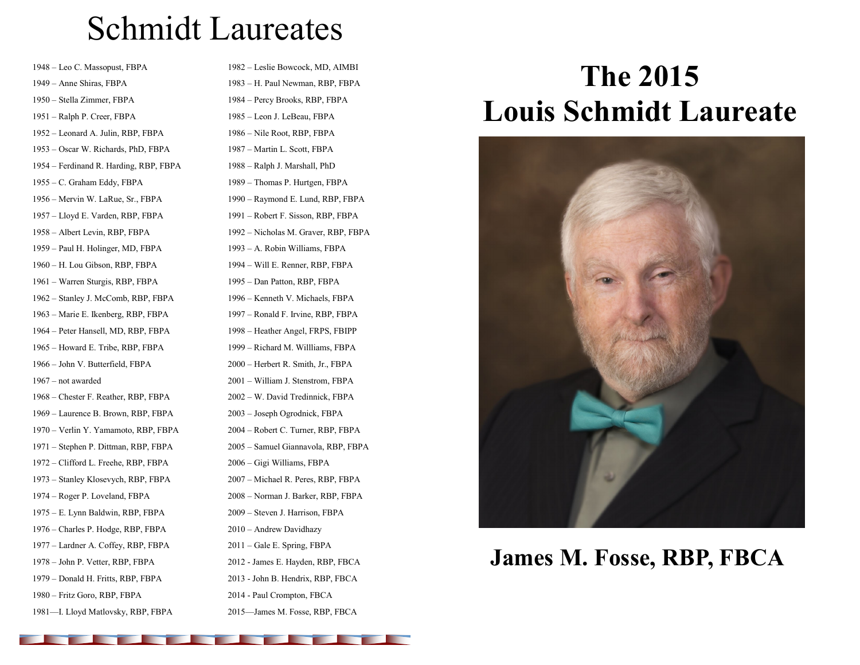## Schmidt Laureates

– Leo C. Massopust, FBPA – Anne Shiras, FBPA – Stella Zimmer, FBPA – Ralph P. Creer, FBPA – Leonard A. Julin, RBP, FBPA – Oscar W. Richards, PhD, FBPA – Ferdinand R. Harding, RBP, FBPA – C. Graham Eddy, FBPA – Mervin W. LaRue, Sr., FBPA – Lloyd E. Varden, RBP, FBPA – Albert Levin, RBP, FBPA – Paul H. Holinger, MD, FBPA – H. Lou Gibson, RBP, FBPA – Warren Sturgis, RBP, FBPA – Stanley J. McComb, RBP, FBPA – Marie E. Ikenberg, RBP, FBPA – Peter Hansell, MD, RBP, FBPA – Howard E. Tribe, RBP, FBPA – John V. Butterfield, FBPA – not awarded – Chester F. Reather, RBP, FBPA – Laurence B. Brown, RBP, FBPA – Verlin Y. Yamamoto, RBP, FBPA – Stephen P. Dittman, RBP, FBPA – Clifford L. Freehe, RBP, FBPA – Stanley Klosevych, RBP, FBPA – Roger P. Loveland, FBPA – E. Lynn Baldwin, RBP, FBPA – Charles P. Hodge, RBP, FBPA – Lardner A. Coffey, RBP, FBPA – John P. Vetter, RBP, FBPA – Donald H. Fritts, RBP, FBPA – Fritz Goro, RBP, FBPA

—I. Lloyd Matlovsky, RBP, FBPA

– Leslie Bowcock, MD, AIMBI – H. Paul Newman, RBP, FBPA – Percy Brooks, RBP, FBPA – Leon J. LeBeau, FBPA – Nile Root, RBP, FBPA – Martin L. Scott, FBPA – Ralph J. Marshall, PhD – Thomas P. Hurtgen, FBPA – Raymond E. Lund, RBP, FBPA – Robert F. Sisson, RBP, FBPA – Nicholas M. Graver, RBP, FBPA – A. Robin Williams, FBPA – Will E. Renner, RBP, FBPA – Dan Patton, RBP, FBPA – Kenneth V. Michaels, FBPA – Ronald F. Irvine, RBP, FBPA – Heather Angel, FRPS, FBIPP – Richard M. Willliams, FBPA – Herbert R. Smith, Jr., FBPA – William J. Stenstrom, FBPA – W. David Tredinnick, FBPA – Joseph Ogrodnick, FBPA – Robert C. Turner, RBP, FBPA – Samuel Giannavola, RBP, FBPA – Gigi Williams, FBPA – Michael R. Peres, RBP, FBPA – Norman J. Barker, RBP, FBPA – Steven J. Harrison, FBPA – Andrew Davidhazy – Gale E. Spring, FBPA - James E. Hayden, RBP, FBCA - John B. Hendrix, RBP, FBCA - Paul Crompton, FBCA

—James M. Fosse, RBP, FBCA

## **The 2015 Louis Schmidt Laureate**



**James M. Fosse, RBP, FBCA**